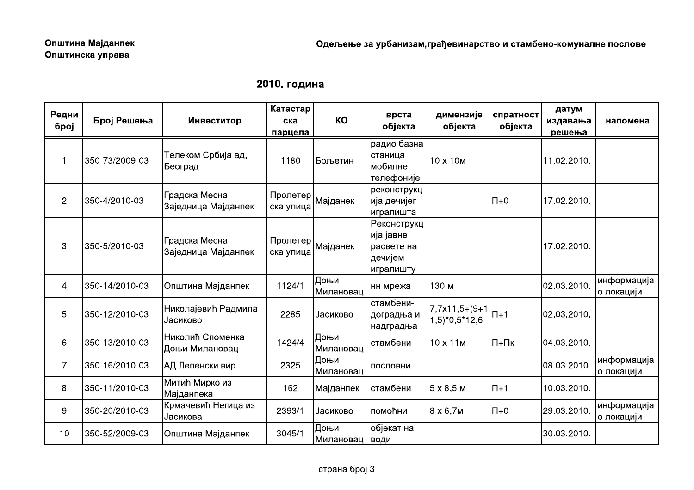|  | 2010. година |
|--|--------------|
|--|--------------|

|                           |                |                                      | 2010. година                                         |                         |                                                                 |                                                                                              |                      |                             |                            |
|---------------------------|----------------|--------------------------------------|------------------------------------------------------|-------------------------|-----------------------------------------------------------------|----------------------------------------------------------------------------------------------|----------------------|-----------------------------|----------------------------|
| Редни<br>број             | Број Решења    | Инвеститор                           | Катастар<br>ска<br>парцела                           | KO                      | врста<br>објекта                                                | димензије<br>објекта                                                                         | спратност<br>објекта | датум<br>издавања<br>решења | напомена                   |
| $\overline{1}$            | 350-73/2009-03 | Телеком Србија ад,<br> Београд       | 1180                                                 | Бољетин                 | радио базна<br>станица<br> мобилне<br>телефоније                | 10 x 10 M                                                                                    |                      | 11.02.2010.                 |                            |
| $\mathbf{2}$              | 350-4/2010-03  | Градска Месна<br>Заједница Мајданпек | , Пролетер <br>Мајданек<br>ска улица                 |                         | реконструкц<br> ија дечијег<br>игралишта                        |                                                                                              | $\n  0+$             | 17.02.2010.                 |                            |
| $\ensuremath{\mathsf{3}}$ | 350-5/2010-03  | Градска Месна<br>Заједница Мајданпек | <sub>I</sub> Пролетер <b> </b> Мајданек<br>ска улица |                         | Реконструкц<br>ија јавне<br> расвете на<br>дечијем<br>игралишту |                                                                                              |                      | 17.02.2010.                 |                            |
| $\overline{4}$            | 350-14/2010-03 | Општина Мајданпек                    | 1124/1                                               | Доњи<br>Милановац       | нн мрежа                                                        | 130 м                                                                                        |                      | 02.03.2010.                 | информација<br> о локацији |
| $\sqrt{5}$                | 350-12/2010-03 | Николајевић Радмила<br>Јасиково      | 2285                                                 | <b>Јасиково</b>         | стамбени-<br>доградња и<br>надградња                            | $\left 7,7x11,5+(9+1)\right $ $\left 1+1\right $<br>$1,5$ <sup>*</sup> 0,5 <sup>*</sup> 12,6 |                      | 02.03.2010.                 |                            |
| 6                         | 350-13/2010-03 | Николић Споменка<br>Доњи Милановац   | 1424/4                                               | ∣Доњи<br>Милановац      | стамбени                                                        | 10 x 11 M                                                                                    | $\Pi$ + $\Pi$ K      | 04.03.2010.                 |                            |
| $\overline{7}$            | 350-16/2010-03 | АД Лепенски вир                      | 2325                                                 | Доњи<br>Милановац       | пословни                                                        |                                                                                              |                      | 08.03.2010.                 | информација<br>о локацији  |
| 8                         | 350-11/2010-03 | Митић Мирко из<br>Мајданпека         | 162                                                  | Мајданпек               | стамбени                                                        | $5 \times 8,5$ M                                                                             | $\Pi$ +1             | 10.03.2010.                 |                            |
| $\boldsymbol{9}$          | 350-20/2010-03 | Крмачевић Негица из<br>Јасикова      | 2393/1                                               | <b>Јасиково</b>         | помоћни                                                         | $8 \times 6,7M$                                                                              | $\Pi$ +0             | 29.03.2010.                 | информација<br>о локацији  |
| 10                        | 350-52/2009-03 | Општина Мајданпек                    | 3045/1                                               | Доњи<br>Милановац  води | објекат на                                                      |                                                                                              |                      | 30.03.2010.                 |                            |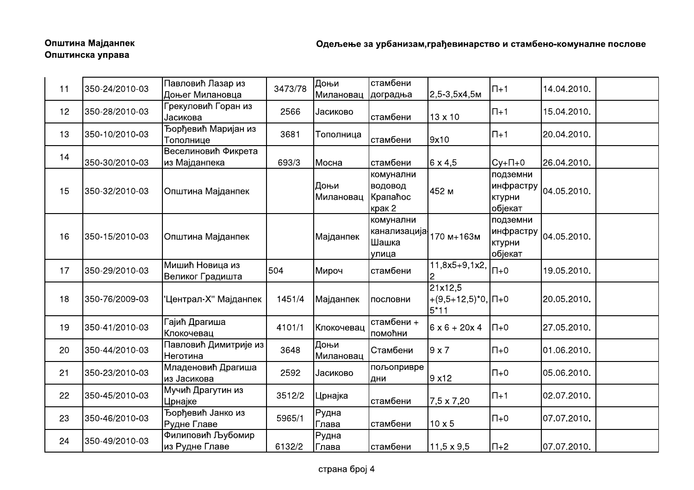| 11 | 350-24/2010-03 | Павловић Лазар из<br>Доњег Милановца     | 3473/78 | Доњи<br>Милановац | стамбени<br>доградња                                     | 2,5-3,5x4,5м                                    | $\Pi+1$                       | 14.04.2010.                            |  |
|----|----------------|------------------------------------------|---------|-------------------|----------------------------------------------------------|-------------------------------------------------|-------------------------------|----------------------------------------|--|
| 12 | 350-28/2010-03 | Грекуловић Горан из<br>Јасикова          | 2566    | Јасиково          | стамбени                                                 | 13 x 10                                         | $\Pi+1$                       | 15.04.2010.                            |  |
| 13 | 350-10/2010-03 | Ђорђевић Маријан из<br>Тополнице         | 3681    | Тополница         | стамбени                                                 | 9x10                                            | $\Pi+1$                       | 20.04.2010.                            |  |
| 14 | 350-30/2010-03 | Веселиновић Фикрета<br>из Мајданпека     | 693/3   | Мосна             | стамбени                                                 | $6 \times 4,5$                                  | $Cy+H+0$                      | 26.04.2010.                            |  |
| 15 | 350-32/2010-03 | Општина Мајданпек                        |         | Доњи<br>Милановац | комунални<br>водовод<br>Крапаћос<br>крак 2               | 452 м                                           | подземни<br>ктурни<br>објекат | $\mu$ нфрастру $\vert_{04.05.2010.04}$ |  |
| 16 | 350-15/2010-03 | Општина Мајданпек                        |         | Мајданпек         | комунални<br>канализација <sup>,</sup><br>Шашка<br>улица | 170 м+163м                                      | подземни<br>ктурни<br>објекат | $ $ инфрастру $ _{04.05.2010.}$        |  |
| 17 | 350-29/2010-03 | Мишић Новица из<br>Великог Градишта      | 504     | Мироч             | стамбени                                                 | $\overline{11}, 8x5+9, 1x2,$                    | $\Pi$ +0                      | 19.05.2010.                            |  |
| 18 | 350-76/2009-03 | 'Централ-Х" Мајданпек                    | 1451/4  | Мајданпек         | пословни                                                 | 21x12,5<br>$+(9,5+12,5)^*0$ , $\Pi+0$<br>$5*11$ |                               | 20.05.2010.                            |  |
| 19 | 350-41/2010-03 | Гајић Драгиша<br><u> Клокочевац</u>      | 4101/1  | Клокочевац        | стамбени +<br>помоћни                                    | $6 \times 6 + 20 \times 4$ $\Pi + 0$            |                               | 27.05.2010.                            |  |
| 20 | 350-44/2010-03 | Павловић Димитрије из<br><b>Неготина</b> | 3648    | Доњи<br>Милановац | Стамбени                                                 | 9x7                                             | $\overline{\mathsf{I}}$ T     | 01.06.2010.                            |  |
| 21 | 350-23/2010-03 | Младеновић Драгиша<br>из Јасикова        | 2592    | Јасиково          | пољопривре<br>дни                                        | 9x12                                            | $\Pi + 0$                     | 05.06.2010.                            |  |
| 22 | 350-45/2010-03 | Мучић Драгутин из<br>Црнајке             | 3512/2  | Црнајка           | стамбени                                                 | 7,5 x 7,20                                      | $\Pi+1$                       | 02.07.2010.                            |  |
| 23 | 350-46/2010-03 | Ђорђевић Јанко из<br>Рудне Главе         | 5965/1  | Рудна<br>Глава    | стамбени                                                 | $10 \times 5$                                   | $\overline{\mathsf{H}}$ +0    | 07.07.2010.                            |  |
| 24 | 350-49/2010-03 | Филиповић Љубомир<br>из Рудне Главе      | 6132/2  | Рудна<br>Глава    | стамбени                                                 | $11,5 \times 9,5$                               | $\Pi$ +2                      | 07.07.2010.                            |  |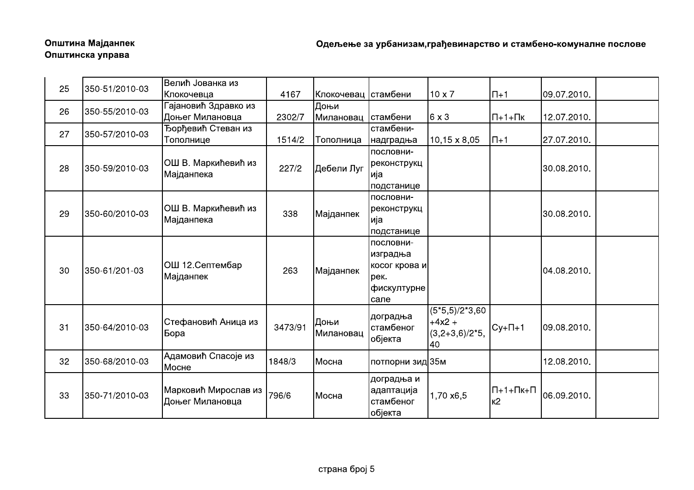# Општина Мајданпек Општинска управа

| 25 | 350-51/2010-03 | Велић Јованка из                   |         |                     |                  |                     |                                     |             |  |
|----|----------------|------------------------------------|---------|---------------------|------------------|---------------------|-------------------------------------|-------------|--|
|    |                | Клокочевца                         | 4167    | Клокочевац стамбени |                  | $10 \times 7$       | $\Pi+1$                             | 09.07.2010. |  |
| 26 | 350-55/2010-03 | Гајановић Здравко из               |         | Доњи                |                  |                     |                                     |             |  |
|    |                | Доњег Милановца                    | 2302/7  | Милановац  стамбени |                  | $6 \times 3$        | $\Pi$ +1+ $\Pi$ <sub>K</sub>        | 12.07.2010. |  |
| 27 | 350-57/2010-03 | Ђорђевић Стеван из                 |         |                     | стамбени-        |                     |                                     |             |  |
|    |                | Тополнице                          | 1514/2  | Тополница           | надградња        | $10,15 \times 8,05$ | $\Pi+1$                             | 27.07.2010. |  |
|    |                |                                    |         | Дебели Луг          | пословни-        |                     |                                     |             |  |
| 28 | 350-59/2010-03 | ОШ В. Маркићевић из                | 227/2   |                     | реконструкц      |                     |                                     | 30.08.2010. |  |
|    |                | Мајданпека                         |         |                     | ија              |                     |                                     |             |  |
|    |                |                                    |         |                     | подстанице       |                     |                                     |             |  |
|    |                |                                    |         | Мајданпек           | пословни-        |                     |                                     |             |  |
| 29 | 350-60/2010-03 | ОШ В. Маркићевић из<br>Мајданпека  | 338     |                     | реконструкц      |                     |                                     | 30.08.2010. |  |
|    |                |                                    |         |                     | ија              |                     |                                     |             |  |
|    |                |                                    |         |                     | подстанице       |                     |                                     |             |  |
|    | 350-61/201-03  | ОШ 12. Септембар<br>Мајданпек      |         | Мајданпек           | пословни-        |                     |                                     |             |  |
|    |                |                                    | 263     |                     | изградња         |                     |                                     | 04.08.2010. |  |
| 30 |                |                                    |         |                     | косог крова и    |                     |                                     |             |  |
|    |                |                                    |         |                     | рек.             |                     |                                     |             |  |
|    |                |                                    |         |                     | фискултурне      |                     |                                     |             |  |
|    |                |                                    |         |                     | сале             |                     |                                     |             |  |
|    |                |                                    |         |                     | доградња         | $(5*5,5)/2*3,60$    |                                     |             |  |
| 31 | 350-64/2010-03 | Стефановић Аница из<br><b>Бора</b> | 3473/91 | Доњи                | стамбеног        | $+4x2 +$            | $Cy+1+1$                            | 09.08.2010. |  |
|    |                |                                    |         | Милановац           | објекта          | $(3,2+3,6)/2*5,$    |                                     |             |  |
|    |                |                                    |         |                     |                  | 40                  |                                     |             |  |
| 32 | 350-68/2010-03 | Адамовић Спасоје из                | 1848/3  | Мосна               | потпорни зид 35м |                     |                                     | 12.08.2010. |  |
|    |                | Мосне                              |         |                     |                  |                     |                                     |             |  |
|    |                |                                    |         |                     | доградња и       |                     |                                     |             |  |
| 33 | 350-71/2010-03 | Марковић Мирослав из               | 796/6   | Мосна               | адаптација       | 1,70 x6,5           | $\Pi$ +1+ $\Pi$ <sub>K+</sub> $\Pi$ | 06.09.2010. |  |
|    |                | Доњег Милановца                    |         |                     | стамбеног        |                     | K <sub>2</sub>                      |             |  |
|    |                |                                    |         |                     | објекта          |                     |                                     |             |  |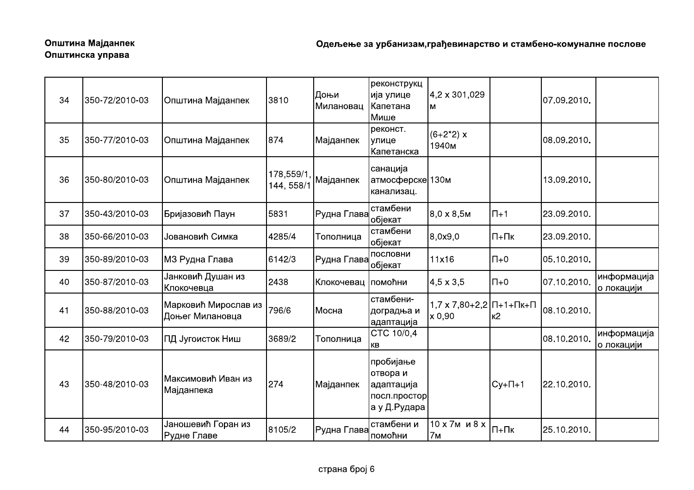# Општина Мајданпек Општинска управа

| 34 | 350-72/2010-03 | Општина Мајданпек                       | 3810                    | Доњи<br>Милановац | реконструкц<br>ија улице<br>Капетана<br>Мише                        | 4,2 x 301,029<br>M                                       |                            | 07.09.2010. |                            |
|----|----------------|-----------------------------------------|-------------------------|-------------------|---------------------------------------------------------------------|----------------------------------------------------------|----------------------------|-------------|----------------------------|
| 35 | 350-77/2010-03 | Општина Мајданпек                       | 874                     | Мајданпек         | реконст.<br>улице<br>Капетанска                                     | $(6+2^*2) x$<br>1940м                                    |                            | 08.09.2010. |                            |
| 36 | 350-80/2010-03 | Општина Мајданпек                       | 178,559/1<br>144, 558/1 | Мајданпек         | санација<br>атмосферске 130м<br>канализац.                          |                                                          |                            | 13.09.2010. |                            |
| 37 | 350-43/2010-03 | Бријазовић Паун                         | 5831                    | Рудна Глава       | стамбени<br>објекат                                                 | $8,0 \times 8,5$ M                                       | $ \Pi+1 $                  | 23.09.2010. |                            |
| 38 | 350-66/2010-03 | Јовановић Симка                         | 4285/4                  | Тополница         | стамбени<br>објекат                                                 | 8,0x9,0                                                  | $\Pi$ + $\Pi$ <sub>K</sub> | 23.09.2010. |                            |
| 39 | 350-89/2010-03 | МЗ Рудна Глава                          | 6142/3                  | Рудна Глава       | пословни<br>објекат                                                 | 11x16                                                    | $\overline{\Pi}+0$         | 05.10.2010. |                            |
| 40 | 350-87/2010-03 | Јанковић Душан из<br>Клокочевца         | 2438                    | Клокочевац        | помоћни                                                             | $4,5 \times 3,5$                                         | $\Pi + 0$                  | 07.10.2010. | информација<br>∣о локацији |
| 41 | 350-88/2010-03 | Марковић Мирослав из<br>Доњег Милановца | 796/6                   | Мосна             | стамбени-<br>доградња и<br>адаптација                               | $1,7 \times 7,80+2,2$ $\Pi$ +1+ $\Pi$ K+ $\Pi$<br>x 0,90 | Iĸ2                        | 08.10.2010. |                            |
| 42 | 350-79/2010-03 | ПД Југоисток Ниш                        | 3689/2                  | Тополница         | CTC 10/0,4<br>КB                                                    |                                                          |                            | 08.10.2010  | информација<br>о локацији  |
| 43 | 350-48/2010-03 | Максимовић Иван из<br>Мајданпека        | 274                     | Мајданпек         | пробијање<br>отвора и<br>адаптација<br>посл.простор<br>а у Д.Рудара |                                                          | $Cy+1+1$                   | 22.10.2010. |                            |
| 44 | 350-95/2010-03 | Јаношевић Горан из<br>Рудне Главе       | 8105/2                  | Рудна Глава       | стамбени и<br>помоћни                                               | 10 х 7м и 8 х<br>7 <sub>M</sub>                          | $\Pi$ + $\Pi$ <sub>K</sub> | 25.10.2010. |                            |